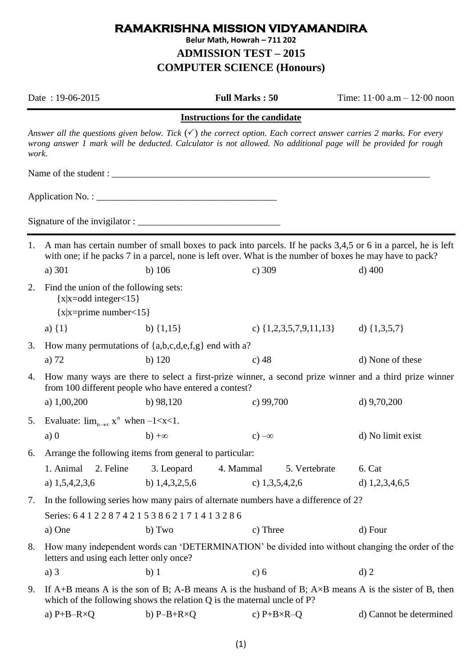## **RAMAKRISHNA MISSION VIDYAMANDIRA Belur Math, Howrah – 711 202 ADMISSION TEST – 2015 COMPUTER SCIENCE (Honours)**

|                                       | Date: 19-06-2015                                                                                                                                                                               |                    | <b>Full Marks: 50</b>      | Time: $11 \cdot 00$ a.m $- 12 \cdot 00$ noon                                                                                                                                                                                                   |  |  |  |
|---------------------------------------|------------------------------------------------------------------------------------------------------------------------------------------------------------------------------------------------|--------------------|----------------------------|------------------------------------------------------------------------------------------------------------------------------------------------------------------------------------------------------------------------------------------------|--|--|--|
| <b>Instructions for the candidate</b> |                                                                                                                                                                                                |                    |                            |                                                                                                                                                                                                                                                |  |  |  |
| work.                                 |                                                                                                                                                                                                |                    |                            | Answer all the questions given below. Tick $(\checkmark)$ the correct option. Each correct answer carries 2 marks. For every<br>wrong answer 1 mark will be deducted. Calculator is not allowed. No additional page will be provided for rough |  |  |  |
|                                       |                                                                                                                                                                                                |                    |                            |                                                                                                                                                                                                                                                |  |  |  |
|                                       |                                                                                                                                                                                                |                    |                            |                                                                                                                                                                                                                                                |  |  |  |
|                                       |                                                                                                                                                                                                |                    |                            |                                                                                                                                                                                                                                                |  |  |  |
|                                       |                                                                                                                                                                                                |                    |                            |                                                                                                                                                                                                                                                |  |  |  |
| 1.                                    | a) 301                                                                                                                                                                                         | b) $106$           | c) 309                     | A man has certain number of small boxes to pack into parcels. If he packs 3,4,5 or 6 in a parcel, he is left<br>with one; if he packs 7 in a parcel, none is left over. What is the number of boxes he may have to pack?<br>$d)$ 400           |  |  |  |
| 2.                                    | Find the union of the following sets:<br>${x \mid x = odd integer < 15}$<br>${x \mid x = prime \ number < 15}$                                                                                 |                    |                            |                                                                                                                                                                                                                                                |  |  |  |
|                                       | a) $\{1\}$                                                                                                                                                                                     | b) $\{1,15\}$      |                            | c) $\{1,2,3,5,7,9,11,13\}$ d) $\{1,3,5,7\}$                                                                                                                                                                                                    |  |  |  |
| 3.                                    | How many permutations of $\{a,b,c,d,e,f,g\}$ end with a?                                                                                                                                       |                    |                            |                                                                                                                                                                                                                                                |  |  |  |
|                                       | a) 72                                                                                                                                                                                          | $b)$ 120           | c) $48$                    | d) None of these                                                                                                                                                                                                                               |  |  |  |
| 4.                                    | How many ways are there to select a first-prize winner, a second prize winner and a third prize winner<br>from 100 different people who have entered a contest?                                |                    |                            |                                                                                                                                                                                                                                                |  |  |  |
|                                       | a) $1,00,200$                                                                                                                                                                                  | b) $98,120$        | c) $99,700$                | d) $9,70,200$                                                                                                                                                                                                                                  |  |  |  |
| 5.                                    | Evaluate: $\lim_{n\to\infty} x^n$ when $-1 < x < 1$ .                                                                                                                                          |                    |                            |                                                                                                                                                                                                                                                |  |  |  |
|                                       | a) $\theta$<br>$b) + \infty$                                                                                                                                                                   |                    | $c$ ) $-\infty$            | d) No limit exist                                                                                                                                                                                                                              |  |  |  |
| 6.                                    | Arrange the following items from general to particular:                                                                                                                                        |                    |                            |                                                                                                                                                                                                                                                |  |  |  |
|                                       | 1. Animal<br>2. Feline                                                                                                                                                                         | 3. Leopard         | 4. Mammal<br>5. Vertebrate | 6. Cat                                                                                                                                                                                                                                         |  |  |  |
|                                       | a) $1,5,4,2,3,6$                                                                                                                                                                               | b) $1,4,3,2,5,6$   | c) $1,3,5,4,2,6$           | d) $1,2,3,4,6,5$                                                                                                                                                                                                                               |  |  |  |
| 7.                                    | In the following series how many pairs of alternate numbers have a difference of 2?                                                                                                            |                    |                            |                                                                                                                                                                                                                                                |  |  |  |
|                                       | Series: 641228742153862171413286                                                                                                                                                               |                    |                            |                                                                                                                                                                                                                                                |  |  |  |
|                                       | a) One                                                                                                                                                                                         | b) Two             | c) Three                   | d) Four                                                                                                                                                                                                                                        |  |  |  |
| 8.                                    | How many independent words can 'DETERMINATION' be divided into without changing the order of the<br>letters and using each letter only once?                                                   |                    |                            |                                                                                                                                                                                                                                                |  |  |  |
|                                       | $a)$ 3                                                                                                                                                                                         | b)1                | c) 6                       | $d)$ 2                                                                                                                                                                                                                                         |  |  |  |
| 9.                                    | If A+B means A is the son of B; A-B means A is the husband of B; $A \times B$ means A is the sister of B, then<br>which of the following shows the relation $Q$ is the maternal uncle of $P$ ? |                    |                            |                                                                                                                                                                                                                                                |  |  |  |
|                                       | a) $P+B-R\times Q$                                                                                                                                                                             | b) $P-B+R\times Q$ | c) $P+B\times R-Q$         | d) Cannot be determined                                                                                                                                                                                                                        |  |  |  |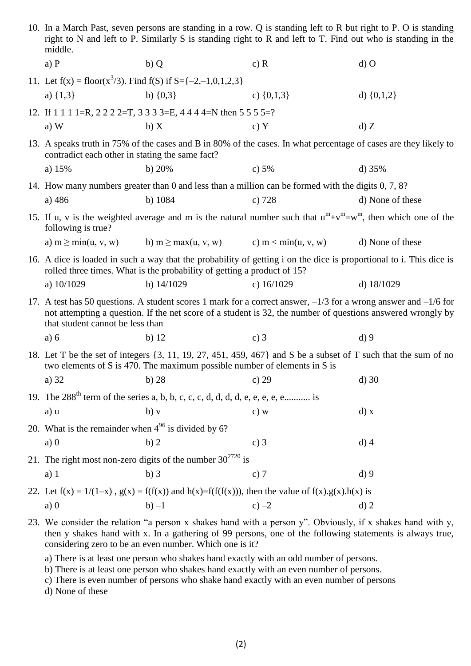| 10. In a March Past, seven persons are standing in a row. Q is standing left to R but right to P. O is standing<br>right to N and left to P. Similarly S is standing right to R and left to T. Find out who is standing in the<br>middle.                                         |                                                                                                                                                                                                                                                                        |                |                  |  |  |  |
|-----------------------------------------------------------------------------------------------------------------------------------------------------------------------------------------------------------------------------------------------------------------------------------|------------------------------------------------------------------------------------------------------------------------------------------------------------------------------------------------------------------------------------------------------------------------|----------------|------------------|--|--|--|
| $a)$ $P$                                                                                                                                                                                                                                                                          | b)Q                                                                                                                                                                                                                                                                    | c) $R$         | $d)$ O           |  |  |  |
| 11. Let $f(x) = floor(x^3/3)$ . Find $f(S)$ if $S = \{-2, -1, 0, 1, 2, 3\}$                                                                                                                                                                                                       |                                                                                                                                                                                                                                                                        |                |                  |  |  |  |
| a) $\{1,3\}$                                                                                                                                                                                                                                                                      | b) $\{0,3\}$                                                                                                                                                                                                                                                           | c) $\{0,1,3\}$ | d) $\{0,1,2\}$   |  |  |  |
|                                                                                                                                                                                                                                                                                   | 12. If 1 1 1 1 = R, 2 2 2 2 = T, 3 3 3 3 = E, 4 4 4 4 = N then 5 5 5 5 = ?                                                                                                                                                                                             |                |                  |  |  |  |
| $a)$ W                                                                                                                                                                                                                                                                            | b) X                                                                                                                                                                                                                                                                   | c) Y           | d) Z             |  |  |  |
| 13. A speaks truth in 75% of the cases and B in 80% of the cases. In what percentage of cases are they likely to<br>contradict each other in stating the same fact?                                                                                                               |                                                                                                                                                                                                                                                                        |                |                  |  |  |  |
| a) $15%$                                                                                                                                                                                                                                                                          | b) $20%$                                                                                                                                                                                                                                                               | c) $5%$        | d) $35%$         |  |  |  |
|                                                                                                                                                                                                                                                                                   | 14. How many numbers greater than 0 and less than a million can be formed with the digits 0, 7, 8?                                                                                                                                                                     |                |                  |  |  |  |
| a) 486                                                                                                                                                                                                                                                                            | b) $1084$                                                                                                                                                                                                                                                              | c) $728$       | d) None of these |  |  |  |
| 15. If u, v is the weighted average and m is the natural number such that $u^m + v^m = w^m$ , then which one of the<br>following is true?                                                                                                                                         |                                                                                                                                                                                                                                                                        |                |                  |  |  |  |
| a) $m \geq min(u, v, w)$                                                                                                                                                                                                                                                          | b) m $\geq$ max(u, v, w) c) m $\lt$ min(u, v, w)                                                                                                                                                                                                                       |                | d) None of these |  |  |  |
| 16. A dice is loaded in such a way that the probability of getting i on the dice is proportional to i. This dice is<br>rolled three times. What is the probability of getting a product of 15?                                                                                    |                                                                                                                                                                                                                                                                        |                |                  |  |  |  |
| a) $10/1029$                                                                                                                                                                                                                                                                      | b) $14/1029$                                                                                                                                                                                                                                                           | c) $16/1029$   | d) $18/1029$     |  |  |  |
|                                                                                                                                                                                                                                                                                   | 17. A test has 50 questions. A student scores 1 mark for a correct answer, $-1/3$ for a wrong answer and $-1/6$ for<br>not attempting a question. If the net score of a student is 32, the number of questions answered wrongly by<br>that student cannot be less than |                |                  |  |  |  |
| a) 6                                                                                                                                                                                                                                                                              | b) $12$                                                                                                                                                                                                                                                                | c) $3$         | $d$ ) 9          |  |  |  |
| 18. Let T be the set of integers {3, 11, 19, 27, 451, 459, 467} and S be a subset of T such that the sum of no<br>two elements of S is 470. The maximum possible number of elements in S is                                                                                       |                                                                                                                                                                                                                                                                        |                |                  |  |  |  |
| a) 32                                                                                                                                                                                                                                                                             | b) 28 c) 29                                                                                                                                                                                                                                                            |                | $d)$ 30          |  |  |  |
| 19. The $288^{th}$ term of the series a, b, b, c, c, c, d, d, d, d, e, e, e, e, e is                                                                                                                                                                                              |                                                                                                                                                                                                                                                                        |                |                  |  |  |  |
| a) u                                                                                                                                                                                                                                                                              | $b)$ v                                                                                                                                                                                                                                                                 | c) w           | d) x             |  |  |  |
| 20. What is the remainder when $4^{96}$ is divided by 6?                                                                                                                                                                                                                          |                                                                                                                                                                                                                                                                        |                |                  |  |  |  |
| a)0                                                                                                                                                                                                                                                                               | b)2                                                                                                                                                                                                                                                                    | c) $3$         | $d)$ 4           |  |  |  |
| 21. The right most non-zero digits of the number $30^{2720}$ is                                                                                                                                                                                                                   |                                                                                                                                                                                                                                                                        |                |                  |  |  |  |
| $a)$ 1                                                                                                                                                                                                                                                                            | $b)$ 3                                                                                                                                                                                                                                                                 | c) $7$         | $d$ ) 9          |  |  |  |
| 22. Let $f(x) = 1/(1-x)$ , $g(x) = f(f(x))$ and $h(x)=f(f(f(x)))$ , then the value of $f(x).g(x).h(x)$ is                                                                                                                                                                         |                                                                                                                                                                                                                                                                        |                |                  |  |  |  |
| a)0                                                                                                                                                                                                                                                                               | $b) -1$                                                                                                                                                                                                                                                                | $c) -2$        | $d)$ 2           |  |  |  |
| 23. We consider the relation "a person x shakes hand with a person y". Obviously, if x shakes hand with y,<br>then y shakes hand with x. In a gathering of 99 persons, one of the following statements is always true,<br>considering zero to be an even number. Which one is it? |                                                                                                                                                                                                                                                                        |                |                  |  |  |  |
| a) There is at least one person who shakes hand exactly with an odd number of persons.                                                                                                                                                                                            |                                                                                                                                                                                                                                                                        |                |                  |  |  |  |

- b) There is at least one person who shakes hand exactly with an even number of persons.
- c) There is even number of persons who shake hand exactly with an even number of persons
- d) None of these